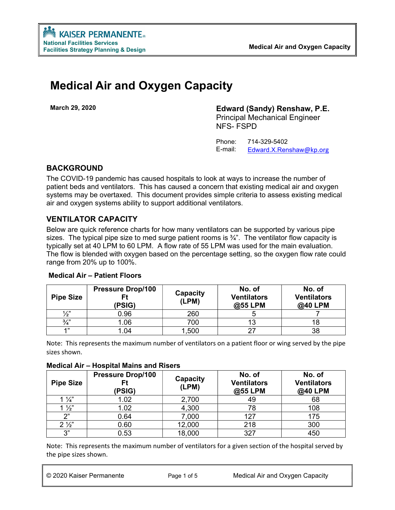# Medical Air and Oxygen Capacity

March 29, 2020 Edward (Sandy) Renshaw, P.E.

Principal Mechanical Engineer NFS- FSPD

 Phone: 714-329-5402 E-mail: Edward.X.Renshaw@kp.org

## BACKGROUND

The COVID-19 pandemic has caused hospitals to look at ways to increase the number of patient beds and ventilators. This has caused a concern that existing medical air and oxygen systems may be overtaxed. This document provides simple criteria to assess existing medical air and oxygen systems ability to support additional ventilators.

# VENTILATOR CAPACITY

Below are quick reference charts for how many ventilators can be supported by various pipe sizes. The typical pipe size to med surge patient rooms is  $\frac{3}{4}$ ". The ventilator flow capacity is typically set at 40 LPM to 60 LPM. A flow rate of 55 LPM was used for the main evaluation. The flow is blended with oxygen based on the percentage setting, so the oxygen flow rate could range from 20% up to 100%.

| <b>Pipe Size</b> | <b>Pressure Drop/100</b><br>(PSIG) | Capacity<br>(LPM) | No. of<br><b>Ventilators</b><br>@55 LPM | No. of<br><b>Ventilators</b><br>@40 LPM |
|------------------|------------------------------------|-------------------|-----------------------------------------|-----------------------------------------|
| $\frac{1}{2}$    | 0.96                               | 260               |                                         |                                         |
| $\frac{3}{4}$    | 1.06                               | 700               |                                         |                                         |
| 49               | 1.04                               | ,500              |                                         | 38                                      |

## Medical Air – Patient Floors

Note: This represents the maximum number of ventilators on a patient floor or wing served by the pipe sizes shown.

#### Medical Air – Hospital Mains and Risers

| <b>Pipe Size</b> | <b>Pressure Drop/100</b><br>Ft<br>(PSIG) | Capacity<br>(LPM) | No. of<br><b>Ventilators</b><br>@55 LPM | No. of<br><b>Ventilators</b><br>@40 LPM |
|------------------|------------------------------------------|-------------------|-----------------------------------------|-----------------------------------------|
| $1\frac{1}{4}$   | 1.02                                     | 2,700             | 49                                      | 68                                      |
| $1\frac{1}{2}$   | 1.02                                     | 4,300             | 78                                      | 108                                     |
| つ"               | 0.64                                     | 7,000             | 127                                     | 175                                     |
| $2\frac{1}{2}$   | 0.60                                     | 12,000            | 218                                     | 300                                     |
| 3"               | 0.53                                     | 18,000            | 327                                     | 450                                     |

Note: This represents the maximum number of ventilators for a given section of the hospital served by the pipe sizes shown.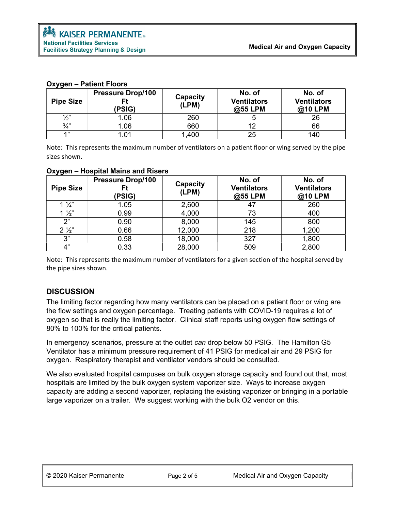| <b>Pipe Size</b> | <b>Pressure Drop/100</b><br>(PSIG) | Capacity<br>(LPM) | No. of<br><b>Ventilators</b><br>@55 LPM | No. of<br><b>Ventilators</b><br>@10 LPM |
|------------------|------------------------------------|-------------------|-----------------------------------------|-----------------------------------------|
| $\frac{1}{2}$    | .06                                | 260               |                                         | 26                                      |
| $\frac{3}{4}$ "  | .06                                | 660               |                                         | 66                                      |
| 4, 33            | .01                                | 1,400             | 25                                      | 140                                     |

#### Oxygen – Patient Floors

Note: This represents the maximum number of ventilators on a patient floor or wing served by the pipe sizes shown.

| <b>Pipe Size</b> | <b>Pressure Drop/100</b><br>Ft<br>(PSIG) | Capacity<br>(LPM) | No. of<br><b>Ventilators</b><br>@55 LPM | No. of<br><b>Ventilators</b><br>@10 LPM |
|------------------|------------------------------------------|-------------------|-----------------------------------------|-----------------------------------------|
| $1\frac{1}{4}$   | 1.05                                     | 2,600             |                                         | 260                                     |
| $1\frac{1}{2}$   | 0.99                                     | 4,000             | 73                                      | 400                                     |
| 2"               | 0.90                                     | 8,000             | 145                                     | 800                                     |
| $2\frac{1}{2}$   | 0.66                                     | 12,000            | 218                                     | 1,200                                   |
| 3"               | 0.58                                     | 18,000            | 327                                     | 1,800                                   |
| 4"               | 0.33                                     | 28,000            | 509                                     | 2,800                                   |

#### Oxygen – Hospital Mains and Risers

Note: This represents the maximum number of ventilators for a given section of the hospital served by the pipe sizes shown.

### **DISCUSSION**

The limiting factor regarding how many ventilators can be placed on a patient floor or wing are the flow settings and oxygen percentage. Treating patients with COVID-19 requires a lot of oxygen so that is really the limiting factor. Clinical staff reports using oxygen flow settings of 80% to 100% for the critical patients.

In emergency scenarios, pressure at the outlet can drop below 50 PSIG. The Hamilton G5 Ventilator has a minimum pressure requirement of 41 PSIG for medical air and 29 PSIG for oxygen. Respiratory therapist and ventilator vendors should be consulted.

We also evaluated hospital campuses on bulk oxygen storage capacity and found out that, most hospitals are limited by the bulk oxygen system vaporizer size. Ways to increase oxygen capacity are adding a second vaporizer, replacing the existing vaporizer or bringing in a portable large vaporizer on a trailer. We suggest working with the bulk O2 vendor on this.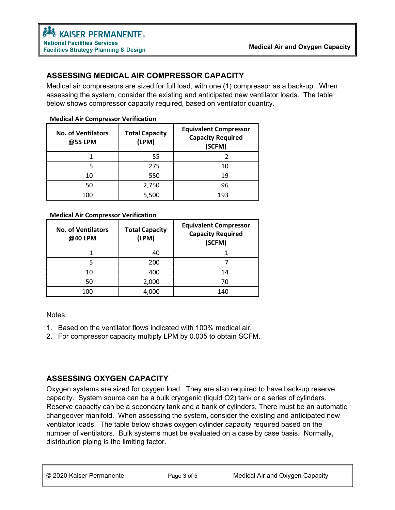## ASSESSING MEDICAL AIR COMPRESSOR CAPACITY

Medical air compressors are sized for full load, with one (1) compressor as a back-up. When assessing the system, consider the existing and anticipated new ventilator loads. The table below shows compressor capacity required, based on ventilator quantity.

| <b>No. of Ventilators</b><br>@55 LPM | <b>Total Capacity</b><br>(LPM) | <b>Equivalent Compressor</b><br><b>Capacity Required</b><br>(SCFM) |
|--------------------------------------|--------------------------------|--------------------------------------------------------------------|
|                                      | 55                             |                                                                    |
|                                      | 275                            | 10                                                                 |
| 10                                   | 550                            | 19                                                                 |
| 50                                   | 2,750                          | 96                                                                 |
| 100                                  | 5,500                          | 193                                                                |

#### Medical Air Compressor Verification

#### Medical Air Compressor Verification

| <b>No. of Ventilators</b><br>@40 LPM | <b>Total Capacity</b><br>(LPM) | <b>Equivalent Compressor</b><br><b>Capacity Required</b><br>(SCFM) |
|--------------------------------------|--------------------------------|--------------------------------------------------------------------|
|                                      | 40                             |                                                                    |
|                                      | 200                            |                                                                    |
| 10                                   | 400                            | 14                                                                 |
| 50                                   | 2,000                          | 70                                                                 |
| 100                                  | 4.000                          | 140                                                                |

Notes:

- 1. Based on the ventilator flows indicated with 100% medical air.
- 2. For compressor capacity multiply LPM by 0.035 to obtain SCFM.

## ASSESSING OXYGEN CAPACITY

Oxygen systems are sized for oxygen load. They are also required to have back-up reserve capacity. System source can be a bulk cryogenic (liquid O2) tank or a series of cylinders. Reserve capacity can be a secondary tank and a bank of cylinders. There must be an automatic changeover manifold. When assessing the system, consider the existing and anticipated new ventilator loads. The table below shows oxygen cylinder capacity required based on the number of ventilators. Bulk systems must be evaluated on a case by case basis. Normally, distribution piping is the limiting factor.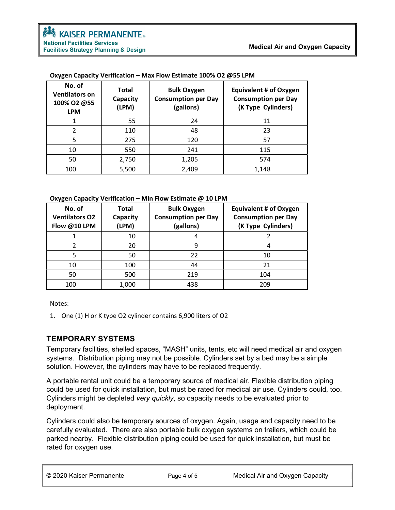| No. of<br><b>Ventilators on</b><br>100% O2 @55<br><b>LPM</b> | <b>Total</b><br>Capacity<br>(LPM) | <b>Bulk Oxygen</b><br><b>Consumption per Day</b><br>(gallons) | <b>Equivalent # of Oxygen</b><br><b>Consumption per Day</b><br>(K Type Cylinders) |
|--------------------------------------------------------------|-----------------------------------|---------------------------------------------------------------|-----------------------------------------------------------------------------------|
|                                                              | 55                                | 24                                                            | 11                                                                                |
| $\mathfrak{p}$                                               | 110                               | 48                                                            | 23                                                                                |
| 5                                                            | 275                               | 120                                                           | 57                                                                                |
| 10                                                           | 550                               | 241                                                           | 115                                                                               |
| 50                                                           | 2,750                             | 1,205                                                         | 574                                                                               |
| 100                                                          | 5,500                             | 2,409                                                         | 1,148                                                                             |

#### Oxygen Capacity Verification – Max Flow Estimate 100% O2 @55 LPM

#### Oxygen Capacity Verification – Min Flow Estimate @ 10 LPM

| No. of<br><b>Ventilators O2</b><br>Flow @10 LPM | <b>Total</b><br>Capacity<br>(LPM) | <b>Bulk Oxygen</b><br><b>Consumption per Day</b><br>(gallons) | <b>Equivalent # of Oxygen</b><br><b>Consumption per Day</b><br>(K Type Cylinders) |
|-------------------------------------------------|-----------------------------------|---------------------------------------------------------------|-----------------------------------------------------------------------------------|
|                                                 | 10                                |                                                               |                                                                                   |
|                                                 | 20                                | 9                                                             |                                                                                   |
|                                                 | 50                                | 22                                                            | 10                                                                                |
| 10                                              | 100                               | 44                                                            | 21                                                                                |
| 50                                              | 500                               | 219                                                           | 104                                                                               |
| 100                                             | 1,000                             | 438                                                           | 209                                                                               |

Notes:

1. One (1) H or K type O2 cylinder contains 6,900 liters of O2

## TEMPORARY SYSTEMS

Temporary facilities, shelled spaces, "MASH" units, tents, etc will need medical air and oxygen systems. Distribution piping may not be possible. Cylinders set by a bed may be a simple solution. However, the cylinders may have to be replaced frequently.

A portable rental unit could be a temporary source of medical air. Flexible distribution piping could be used for quick installation, but must be rated for medical air use. Cylinders could, too. Cylinders might be depleted very quickly, so capacity needs to be evaluated prior to deployment.

Cylinders could also be temporary sources of oxygen. Again, usage and capacity need to be carefully evaluated. There are also portable bulk oxygen systems on trailers, which could be parked nearby. Flexible distribution piping could be used for quick installation, but must be rated for oxygen use.